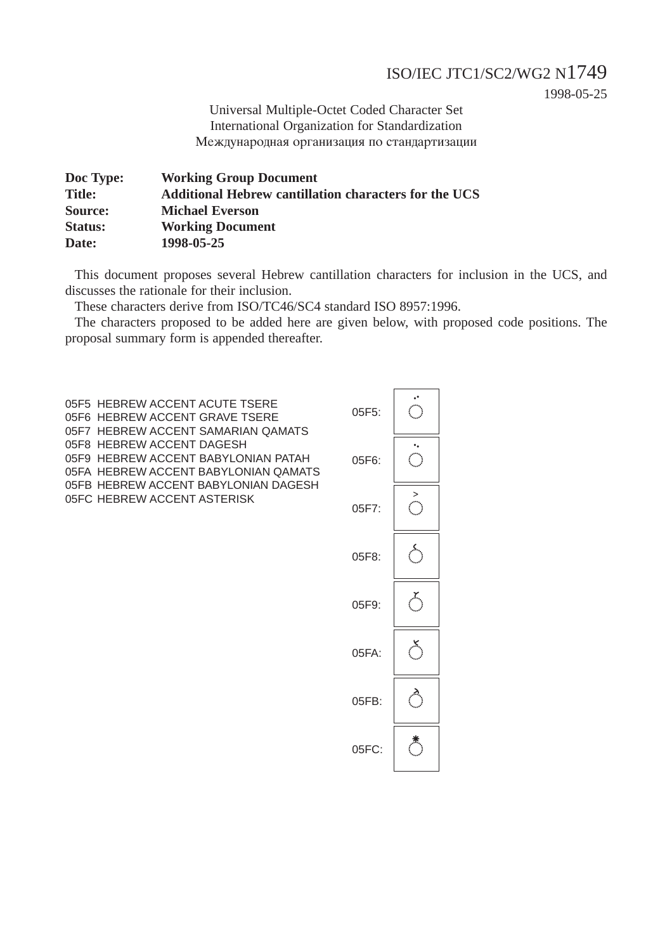#### ISO/IEC JTC1/SC2/WG2 N1749

1998-05-25

Universal Multiple-Octet Coded Character Set International Organization for Standardization Международная организация по стандартизации

| Doc Type:      | <b>Working Group Document</b>                                |
|----------------|--------------------------------------------------------------|
| <b>Title:</b>  | <b>Additional Hebrew cantillation characters for the UCS</b> |
| Source:        | <b>Michael Everson</b>                                       |
| <b>Status:</b> | <b>Working Document</b>                                      |
| Date:          | 1998-05-25                                                   |

This document proposes several Hebrew cantillation characters for inclusion in the UCS, and discusses the rationale for their inclusion.

These characters derive from ISO/TC46/SC4 standard ISO 8957:1996.

The characters proposed to be added here are given below, with proposed code positions. The proposal summary form is appended thereafter.

05F5 HEBREW ACCENT ACUTE TSERE 05F6 HEBREW ACCENT GRAVE TSERE 05F7 HEBREW ACCENT SAMARIAN QAMATS 05F8 HEBREW ACCENT DAGESH 05F9 HEBREW ACCENT BABYLONIAN PATAH 05FA HEBREW ACCENT BABYLONIAN QAMATS 05FB HEBREW ACCENT BABYLONIAN DAGESH 05FC HEBREW ACCENT ASTERISK

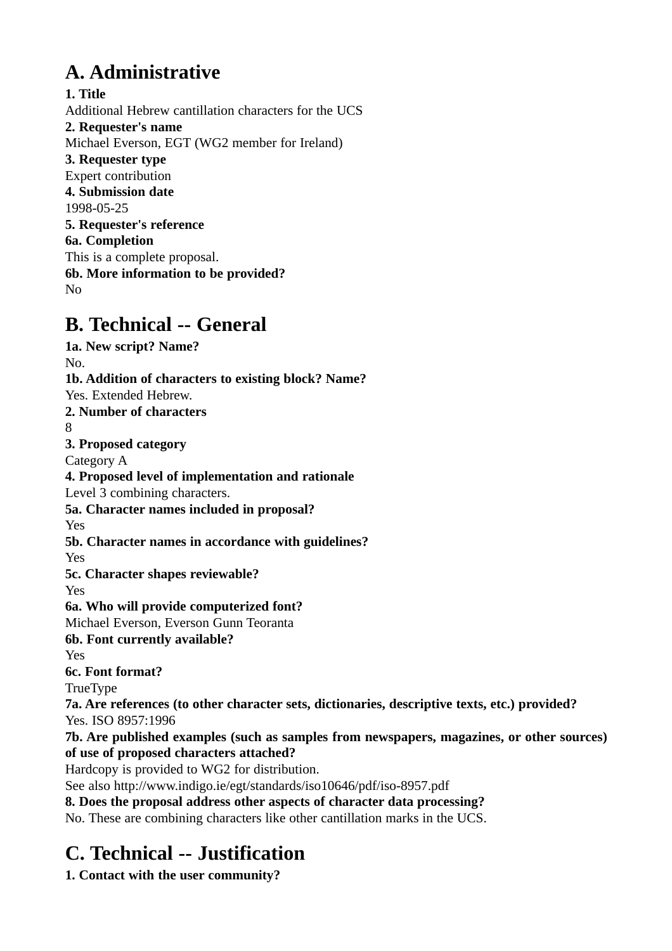# **A. Administrative**

**1. Title** Additional Hebrew cantillation characters for the UCS **2. Requester's name** Michael Everson, EGT (WG2 member for Ireland) **3. Requester type** Expert contribution **4. Submission date** 1998-05-25 **5. Requester's reference 6a. Completion** This is a complete proposal. **6b. More information to be provided?** No

### **B. Technical -- General**

**1a. New script? Name?** No. **1b. Addition of characters to existing block? Name?** Yes. Extended Hebrew. **2. Number of characters** 8 **3. Proposed category** Category A **4. Proposed level of implementation and rationale** Level 3 combining characters. **5a. Character names included in proposal?** Yes **5b. Character names in accordance with guidelines?** Yes **5c. Character shapes reviewable?** Yes **6a. Who will provide computerized font?** Michael Everson, Everson Gunn Teoranta **6b. Font currently available?** Yes **6c. Font format?** TrueType **7a. Are references (to other character sets, dictionaries, descriptive texts, etc.) provided?** Yes. ISO 8957:1996 **7b. Are published examples (such as samples from newspapers, magazines, or other sources) of use of proposed characters attached?** Hardcopy is provided to WG2 for distribution. See also http://www.indigo.ie/egt/standards/iso10646/pdf/iso-8957.pdf **8. Does the proposal address other aspects of character data processing?** No. These are combining characters like other cantillation marks in the UCS.

## **C. Technical -- Justification**

**1. Contact with the user community?**